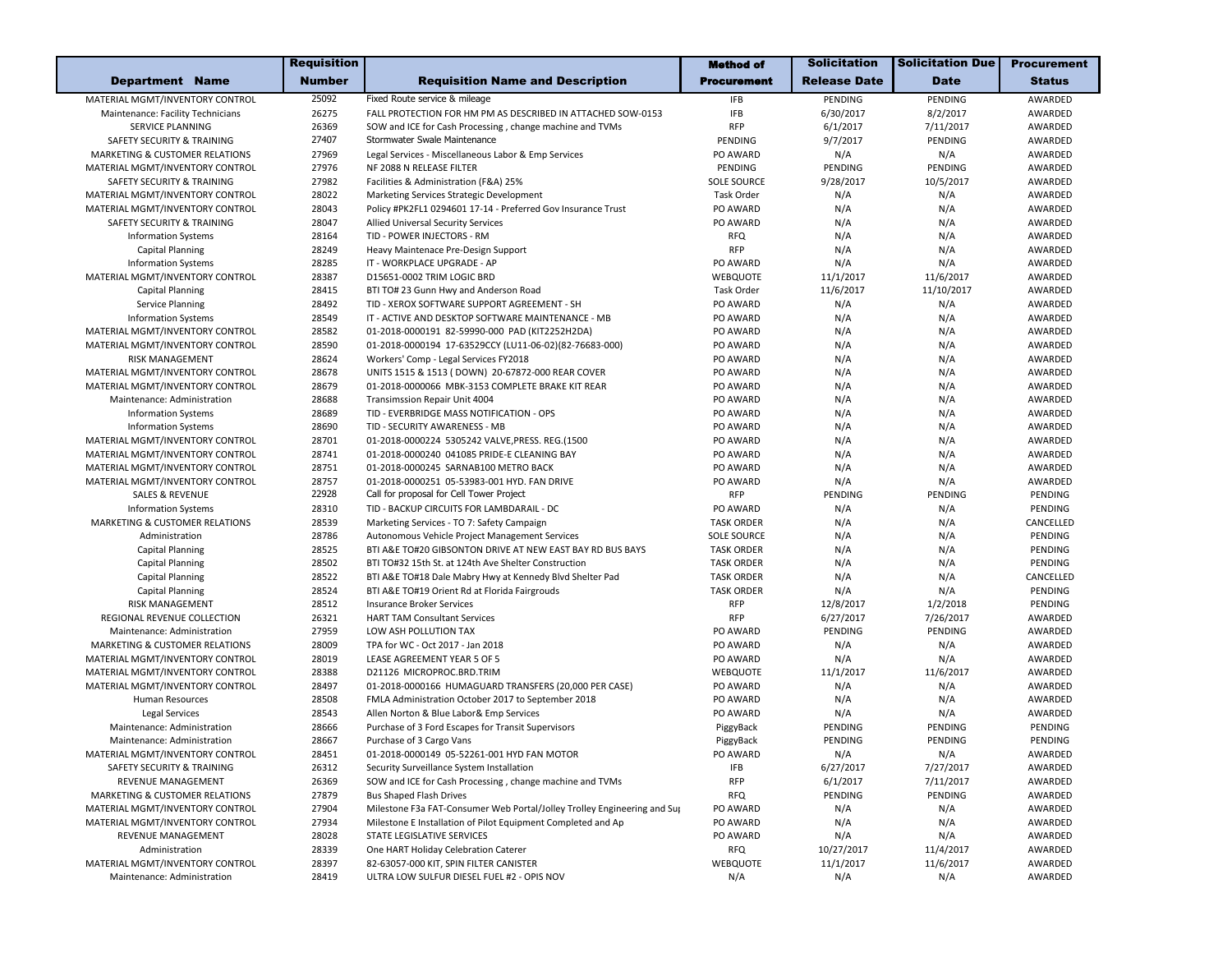| <b>Department Name</b><br><b>Number</b><br><b>Requisition Name and Description</b><br>Procurement<br><b>Release Date</b><br><b>Date</b><br>25092<br>Fixed Route service & mileage<br>MATERIAL MGMT/INVENTORY CONTROL<br><b>IFB</b><br>PENDING<br>PENDING<br>26275<br>FALL PROTECTION FOR HM PM AS DESCRIBED IN ATTACHED SOW-0153<br><b>IFB</b><br>6/30/2017<br>8/2/2017<br>Maintenance: Facility Technicians<br>6/1/2017<br>SERVICE PLANNING<br>26369<br><b>RFP</b><br>7/11/2017<br>SOW and ICE for Cash Processing, change machine and TVMs<br>27407<br>Stormwater Swale Maintenance<br>9/7/2017<br>PENDING<br>SAFETY SECURITY & TRAINING<br>PENDING<br>MARKETING & CUSTOMER RELATIONS<br>27969<br>PO AWARD<br>N/A<br>N/A<br>Legal Services - Miscellaneous Labor & Emp Services | <b>Status</b><br>AWARDED<br>AWARDED<br>AWARDED<br>AWARDED<br>AWARDED<br>AWARDED<br>AWARDED<br>AWARDED<br>AWARDED<br>AWARDED |
|-----------------------------------------------------------------------------------------------------------------------------------------------------------------------------------------------------------------------------------------------------------------------------------------------------------------------------------------------------------------------------------------------------------------------------------------------------------------------------------------------------------------------------------------------------------------------------------------------------------------------------------------------------------------------------------------------------------------------------------------------------------------------------------|-----------------------------------------------------------------------------------------------------------------------------|
|                                                                                                                                                                                                                                                                                                                                                                                                                                                                                                                                                                                                                                                                                                                                                                                   |                                                                                                                             |
|                                                                                                                                                                                                                                                                                                                                                                                                                                                                                                                                                                                                                                                                                                                                                                                   |                                                                                                                             |
|                                                                                                                                                                                                                                                                                                                                                                                                                                                                                                                                                                                                                                                                                                                                                                                   |                                                                                                                             |
|                                                                                                                                                                                                                                                                                                                                                                                                                                                                                                                                                                                                                                                                                                                                                                                   |                                                                                                                             |
|                                                                                                                                                                                                                                                                                                                                                                                                                                                                                                                                                                                                                                                                                                                                                                                   |                                                                                                                             |
|                                                                                                                                                                                                                                                                                                                                                                                                                                                                                                                                                                                                                                                                                                                                                                                   |                                                                                                                             |
| 27976<br>NF 2088 N RELEASE FILTER<br>PENDING<br>PENDING<br>PENDING<br>MATERIAL MGMT/INVENTORY CONTROL                                                                                                                                                                                                                                                                                                                                                                                                                                                                                                                                                                                                                                                                             |                                                                                                                             |
| 27982<br>9/28/2017<br>10/5/2017<br>SAFETY SECURITY & TRAINING<br>Facilities & Administration (F&A) 25%<br><b>SOLE SOURCE</b>                                                                                                                                                                                                                                                                                                                                                                                                                                                                                                                                                                                                                                                      |                                                                                                                             |
| MATERIAL MGMT/INVENTORY CONTROL<br>28022<br>Marketing Services Strategic Development<br>Task Order<br>N/A<br>N/A                                                                                                                                                                                                                                                                                                                                                                                                                                                                                                                                                                                                                                                                  |                                                                                                                             |
| N/A<br>MATERIAL MGMT/INVENTORY CONTROL<br>28043<br>Policy #PK2FL1 0294601 17-14 - Preferred Gov Insurance Trust<br>PO AWARD<br>N/A                                                                                                                                                                                                                                                                                                                                                                                                                                                                                                                                                                                                                                                |                                                                                                                             |
| 28047<br>PO AWARD<br>N/A<br>N/A<br><b>SAFETY SECURITY &amp; TRAINING</b><br>Allied Universal Security Services                                                                                                                                                                                                                                                                                                                                                                                                                                                                                                                                                                                                                                                                    |                                                                                                                             |
| N/A<br>N/A<br><b>Information Systems</b><br>28164<br>TID - POWER INJECTORS - RM<br><b>RFQ</b>                                                                                                                                                                                                                                                                                                                                                                                                                                                                                                                                                                                                                                                                                     | AWARDED                                                                                                                     |
| <b>RFP</b><br>28249<br>N/A<br>N/A<br><b>Capital Planning</b><br>Heavy Maintenace Pre-Design Support                                                                                                                                                                                                                                                                                                                                                                                                                                                                                                                                                                                                                                                                               | AWARDED                                                                                                                     |
| <b>Information Systems</b><br>28285<br>PO AWARD<br>N/A<br>N/A<br>IT - WORKPLACE UPGRADE - AP                                                                                                                                                                                                                                                                                                                                                                                                                                                                                                                                                                                                                                                                                      | AWARDED                                                                                                                     |
| MATERIAL MGMT/INVENTORY CONTROL<br>28387<br>D15651-0002 TRIM LOGIC BRD<br>WEBQUOTE<br>11/1/2017<br>11/6/2017                                                                                                                                                                                                                                                                                                                                                                                                                                                                                                                                                                                                                                                                      | AWARDED                                                                                                                     |
| 11/6/2017<br>11/10/2017<br><b>Capital Planning</b><br>28415<br>BTI TO# 23 Gunn Hwy and Anderson Road<br>Task Order                                                                                                                                                                                                                                                                                                                                                                                                                                                                                                                                                                                                                                                                | AWARDED                                                                                                                     |
| 28492<br>TID - XEROX SOFTWARE SUPPORT AGREEMENT - SH<br>PO AWARD<br>N/A<br>N/A<br><b>Service Planning</b>                                                                                                                                                                                                                                                                                                                                                                                                                                                                                                                                                                                                                                                                         | AWARDED                                                                                                                     |
| 28549<br>IT - ACTIVE AND DESKTOP SOFTWARE MAINTENANCE - MB<br>N/A<br>N/A<br><b>Information Systems</b><br>PO AWARD                                                                                                                                                                                                                                                                                                                                                                                                                                                                                                                                                                                                                                                                | AWARDED                                                                                                                     |
| MATERIAL MGMT/INVENTORY CONTROL<br>28582<br>01-2018-0000191 82-59990-000 PAD (KIT2252H2DA)<br>PO AWARD<br>N/A<br>N/A                                                                                                                                                                                                                                                                                                                                                                                                                                                                                                                                                                                                                                                              | AWARDED                                                                                                                     |
| MATERIAL MGMT/INVENTORY CONTROL<br>28590<br>01-2018-0000194 17-63529CCY (LU11-06-02)(82-76683-000)<br>PO AWARD<br>N/A<br>N/A                                                                                                                                                                                                                                                                                                                                                                                                                                                                                                                                                                                                                                                      | AWARDED                                                                                                                     |
| 28624<br>PO AWARD<br>N/A<br>N/A<br><b>RISK MANAGEMENT</b><br>Workers' Comp - Legal Services FY2018                                                                                                                                                                                                                                                                                                                                                                                                                                                                                                                                                                                                                                                                                | AWARDED                                                                                                                     |
| N/A<br>N/A<br>MATERIAL MGMT/INVENTORY CONTROL<br>28678<br>UNITS 1515 & 1513 ( DOWN) 20-67872-000 REAR COVER<br>PO AWARD                                                                                                                                                                                                                                                                                                                                                                                                                                                                                                                                                                                                                                                           | AWARDED                                                                                                                     |
| 28679<br>N/A<br>N/A<br>MATERIAL MGMT/INVENTORY CONTROL<br>01-2018-0000066 MBK-3153 COMPLETE BRAKE KIT REAR<br>PO AWARD                                                                                                                                                                                                                                                                                                                                                                                                                                                                                                                                                                                                                                                            | AWARDED                                                                                                                     |
| 28688<br>N/A<br>N/A<br>Maintenance: Administration<br>Transimssion Repair Unit 4004<br>PO AWARD                                                                                                                                                                                                                                                                                                                                                                                                                                                                                                                                                                                                                                                                                   | AWARDED                                                                                                                     |
| 28689<br>PO AWARD<br>N/A<br>N/A<br><b>Information Systems</b><br>TID - EVERBRIDGE MASS NOTIFICATION - OPS                                                                                                                                                                                                                                                                                                                                                                                                                                                                                                                                                                                                                                                                         | AWARDED                                                                                                                     |
| 28690<br>TID - SECURITY AWARENESS - MB<br>PO AWARD<br>N/A<br>N/A<br><b>Information Systems</b>                                                                                                                                                                                                                                                                                                                                                                                                                                                                                                                                                                                                                                                                                    | AWARDED                                                                                                                     |
| MATERIAL MGMT/INVENTORY CONTROL<br>28701<br>01-2018-0000224 5305242 VALVE, PRESS. REG.(1500<br>PO AWARD<br>N/A<br>N/A                                                                                                                                                                                                                                                                                                                                                                                                                                                                                                                                                                                                                                                             | AWARDED                                                                                                                     |
| 28741<br>PO AWARD<br>N/A<br>N/A<br>MATERIAL MGMT/INVENTORY CONTROL<br>01-2018-0000240 041085 PRIDE-E CLEANING BAY                                                                                                                                                                                                                                                                                                                                                                                                                                                                                                                                                                                                                                                                 | AWARDED                                                                                                                     |
| 28751<br>01-2018-0000245 SARNAB100 METRO BACK<br>PO AWARD<br>N/A<br>N/A<br>MATERIAL MGMT/INVENTORY CONTROL                                                                                                                                                                                                                                                                                                                                                                                                                                                                                                                                                                                                                                                                        | AWARDED                                                                                                                     |
| MATERIAL MGMT/INVENTORY CONTROL<br>28757<br>01-2018-0000251 05-53983-001 HYD. FAN DRIVE<br>PO AWARD<br>N/A<br>N/A                                                                                                                                                                                                                                                                                                                                                                                                                                                                                                                                                                                                                                                                 | AWARDED                                                                                                                     |
| 22928<br>Call for proposal for Cell Tower Project<br><b>RFP</b><br>PENDING<br>PENDING<br><b>SALES &amp; REVENUE</b>                                                                                                                                                                                                                                                                                                                                                                                                                                                                                                                                                                                                                                                               | PENDING                                                                                                                     |
| 28310<br>TID - BACKUP CIRCUITS FOR LAMBDARAIL - DC<br>PO AWARD<br>N/A<br>N/A<br><b>Information Systems</b>                                                                                                                                                                                                                                                                                                                                                                                                                                                                                                                                                                                                                                                                        | PENDING                                                                                                                     |
| MARKETING & CUSTOMER RELATIONS<br>28539<br><b>TASK ORDER</b><br>N/A<br>N/A<br>Marketing Services - TO 7: Safety Campaign                                                                                                                                                                                                                                                                                                                                                                                                                                                                                                                                                                                                                                                          | CANCELLED                                                                                                                   |
| 28786<br><b>SOLE SOURCE</b><br>N/A<br>N/A<br>Administration<br>Autonomous Vehicle Project Management Services                                                                                                                                                                                                                                                                                                                                                                                                                                                                                                                                                                                                                                                                     | PENDING                                                                                                                     |
| 28525<br>N/A<br>N/A<br><b>Capital Planning</b><br>BTI A&E TO#20 GIBSONTON DRIVE AT NEW EAST BAY RD BUS BAYS<br><b>TASK ORDER</b>                                                                                                                                                                                                                                                                                                                                                                                                                                                                                                                                                                                                                                                  | PENDING                                                                                                                     |
| 28502<br>N/A<br>N/A<br><b>Capital Planning</b><br>BTI TO#32 15th St. at 124th Ave Shelter Construction<br><b>TASK ORDER</b>                                                                                                                                                                                                                                                                                                                                                                                                                                                                                                                                                                                                                                                       | PENDING                                                                                                                     |
| 28522<br><b>TASK ORDER</b><br>N/A<br>N/A<br><b>Capital Planning</b><br>BTI A&E TO#18 Dale Mabry Hwy at Kennedy Blvd Shelter Pad                                                                                                                                                                                                                                                                                                                                                                                                                                                                                                                                                                                                                                                   | CANCELLED                                                                                                                   |
| 28524<br>BTI A&E TO#19 Orient Rd at Florida Fairgrouds<br><b>TASK ORDER</b><br>N/A<br><b>Capital Planning</b><br>N/A                                                                                                                                                                                                                                                                                                                                                                                                                                                                                                                                                                                                                                                              | PENDING                                                                                                                     |
| RISK MANAGEMENT<br>28512<br><b>RFP</b><br>12/8/2017<br>1/2/2018<br><b>Insurance Broker Services</b>                                                                                                                                                                                                                                                                                                                                                                                                                                                                                                                                                                                                                                                                               | PENDING                                                                                                                     |
| <b>RFP</b><br>REGIONAL REVENUE COLLECTION<br>26321<br>6/27/2017<br>7/26/2017<br><b>HART TAM Consultant Services</b>                                                                                                                                                                                                                                                                                                                                                                                                                                                                                                                                                                                                                                                               | AWARDED                                                                                                                     |
| 27959<br>LOW ASH POLLUTION TAX<br>PO AWARD<br>PENDING<br>PENDING<br>Maintenance: Administration                                                                                                                                                                                                                                                                                                                                                                                                                                                                                                                                                                                                                                                                                   | AWARDED                                                                                                                     |
| 28009<br>PO AWARD<br>N/A<br>N/A<br><b>MARKETING &amp; CUSTOMER RELATIONS</b><br>TPA for WC - Oct 2017 - Jan 2018                                                                                                                                                                                                                                                                                                                                                                                                                                                                                                                                                                                                                                                                  | AWARDED                                                                                                                     |
| 28019<br>LEASE AGREEMENT YEAR 5 OF 5<br>N/A<br>N/A<br>MATERIAL MGMT/INVENTORY CONTROL<br>PO AWARD                                                                                                                                                                                                                                                                                                                                                                                                                                                                                                                                                                                                                                                                                 | AWARDED                                                                                                                     |
| 28388<br>D21126 MICROPROC.BRD.TRIM<br><b>WEBQUOTE</b><br>11/1/2017<br>11/6/2017<br>MATERIAL MGMT/INVENTORY CONTROL                                                                                                                                                                                                                                                                                                                                                                                                                                                                                                                                                                                                                                                                | AWARDED                                                                                                                     |
| MATERIAL MGMT/INVENTORY CONTROL<br>28497<br>01-2018-0000166 HUMAGUARD TRANSFERS (20,000 PER CASE)<br>PO AWARD<br>N/A<br>N/A                                                                                                                                                                                                                                                                                                                                                                                                                                                                                                                                                                                                                                                       | AWARDED                                                                                                                     |
| 28508<br>PO AWARD<br>N/A<br>Human Resources<br>FMLA Administration October 2017 to September 2018<br>N/A                                                                                                                                                                                                                                                                                                                                                                                                                                                                                                                                                                                                                                                                          | AWARDED                                                                                                                     |
| 28543<br>PO AWARD<br>N/A<br>Legal Services<br>Allen Norton & Blue Labor& Emp Services<br>N/A                                                                                                                                                                                                                                                                                                                                                                                                                                                                                                                                                                                                                                                                                      | AWARDED                                                                                                                     |
| 28666<br>PENDING<br>PENDING<br>Maintenance: Administration<br>Purchase of 3 Ford Escapes for Transit Supervisors<br>PiggyBack                                                                                                                                                                                                                                                                                                                                                                                                                                                                                                                                                                                                                                                     | PENDING                                                                                                                     |
| 28667<br>PENDING<br>PENDING<br>Maintenance: Administration<br>Purchase of 3 Cargo Vans<br>PiggyBack                                                                                                                                                                                                                                                                                                                                                                                                                                                                                                                                                                                                                                                                               | PENDING                                                                                                                     |
| MATERIAL MGMT/INVENTORY CONTROL<br>28451<br>01-2018-0000149 05-52261-001 HYD FAN MOTOR<br>PO AWARD<br>N/A<br>N/A                                                                                                                                                                                                                                                                                                                                                                                                                                                                                                                                                                                                                                                                  | AWARDED                                                                                                                     |
| SAFETY SECURITY & TRAINING<br>26312<br>6/27/2017<br>7/27/2017<br>Security Surveillance System Installation<br>IFB                                                                                                                                                                                                                                                                                                                                                                                                                                                                                                                                                                                                                                                                 | AWARDED                                                                                                                     |
| REVENUE MANAGEMENT<br>26369<br><b>RFP</b><br>6/1/2017<br>7/11/2017<br>SOW and ICE for Cash Processing, change machine and TVMs                                                                                                                                                                                                                                                                                                                                                                                                                                                                                                                                                                                                                                                    | AWARDED                                                                                                                     |
| 27879<br><b>Bus Shaped Flash Drives</b><br><b>RFQ</b><br>PENDING<br>PENDING<br>MARKETING & CUSTOMER RELATIONS                                                                                                                                                                                                                                                                                                                                                                                                                                                                                                                                                                                                                                                                     | AWARDED                                                                                                                     |
| Milestone F3a FAT-Consumer Web Portal/Jolley Trolley Engineering and Sup<br>MATERIAL MGMT/INVENTORY CONTROL<br>27904<br>PO AWARD<br>N/A<br>N/A                                                                                                                                                                                                                                                                                                                                                                                                                                                                                                                                                                                                                                    | AWARDED                                                                                                                     |
| Milestone E Installation of Pilot Equipment Completed and Ap<br>MATERIAL MGMT/INVENTORY CONTROL<br>27934<br>PO AWARD<br>N/A<br>N/A                                                                                                                                                                                                                                                                                                                                                                                                                                                                                                                                                                                                                                                | AWARDED                                                                                                                     |
| 28028<br>STATE LEGISLATIVE SERVICES<br>REVENUE MANAGEMENT<br>PO AWARD<br>N/A<br>N/A                                                                                                                                                                                                                                                                                                                                                                                                                                                                                                                                                                                                                                                                                               | AWARDED                                                                                                                     |
| 28339<br>10/27/2017<br>11/4/2017<br>Administration<br>One HART Holiday Celebration Caterer<br><b>RFQ</b>                                                                                                                                                                                                                                                                                                                                                                                                                                                                                                                                                                                                                                                                          | AWARDED                                                                                                                     |
| MATERIAL MGMT/INVENTORY CONTROL<br>28397<br>11/1/2017<br>11/6/2017<br>82-63057-000 KIT, SPIN FILTER CANISTER<br>WEBQUOTE                                                                                                                                                                                                                                                                                                                                                                                                                                                                                                                                                                                                                                                          | AWARDED                                                                                                                     |
| 28419<br>ULTRA LOW SULFUR DIESEL FUEL #2 - OPIS NOV<br>N/A<br>N/A<br>N/A<br>Maintenance: Administration                                                                                                                                                                                                                                                                                                                                                                                                                                                                                                                                                                                                                                                                           | AWARDED                                                                                                                     |